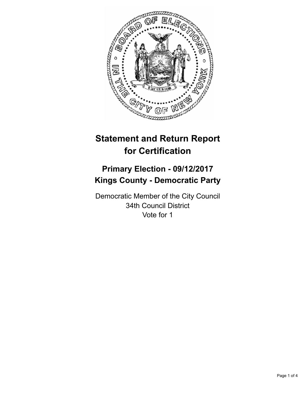

# **Statement and Return Report for Certification**

## **Primary Election - 09/12/2017 Kings County - Democratic Party**

Democratic Member of the City Council 34th Council District Vote for 1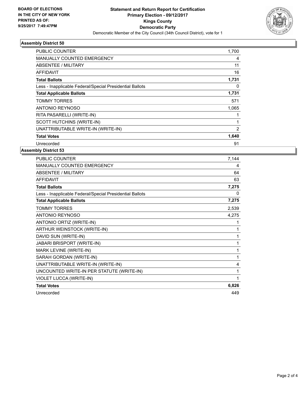

### **Assembly District 50**

| <b>PUBLIC COUNTER</b>                                    | 1,700 |
|----------------------------------------------------------|-------|
| <b>MANUALLY COUNTED EMERGENCY</b>                        | 4     |
| ABSENTEE / MILITARY                                      | 11    |
| AFFIDAVIT                                                | 16    |
| <b>Total Ballots</b>                                     | 1,731 |
| Less - Inapplicable Federal/Special Presidential Ballots | 0     |
| <b>Total Applicable Ballots</b>                          | 1,731 |
| <b>TOMMY TORRES</b>                                      | 571   |
| ANTONIO REYNOSO                                          | 1,065 |
| RITA PASARELLI (WRITE-IN)                                |       |
| <b>SCOTT HUTCHINS (WRITE-IN)</b>                         |       |
| UNATTRIBUTABLE WRITE-IN (WRITE-IN)                       | 2     |
| <b>Total Votes</b>                                       | 1,640 |
| Unrecorded                                               | 91    |
|                                                          |       |

### **Assembly District 53**

| PUBLIC COUNTER                                           | 7,144 |
|----------------------------------------------------------|-------|
| MANUALLY COUNTED EMERGENCY                               | 4     |
| <b>ABSENTEE / MILITARY</b>                               | 64    |
| <b>AFFIDAVIT</b>                                         | 63    |
| <b>Total Ballots</b>                                     | 7,275 |
| Less - Inapplicable Federal/Special Presidential Ballots | 0     |
| <b>Total Applicable Ballots</b>                          | 7,275 |
| <b>TOMMY TORRES</b>                                      | 2,539 |
| <b>ANTONIO REYNOSO</b>                                   | 4,275 |
| ANTONIO ORTIZ (WRITE-IN)                                 |       |
| ARTHUR WEINSTOCK (WRITE-IN)                              | 1     |
| DAVID SUN (WRITE-IN)                                     | 1     |
| <b>JABARI BRISPORT (WRITE-IN)</b>                        | 1     |
| MARK LEVINE (WRITE-IN)                                   | 1     |
| SARAH GORDAN (WRITE-IN)                                  | 1     |
| UNATTRIBUTABLE WRITE-IN (WRITE-IN)                       | 4     |
| UNCOUNTED WRITE-IN PER STATUTE (WRITE-IN)                | 1     |
| VIOLET LUCCA (WRITE-IN)                                  | 1     |
| <b>Total Votes</b>                                       | 6,826 |
| Unrecorded                                               | 449   |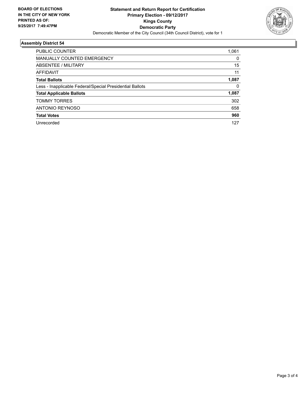

### **Assembly District 54**

| PUBLIC COUNTER                                           | 1,061 |
|----------------------------------------------------------|-------|
| <b>MANUALLY COUNTED EMERGENCY</b>                        | 0     |
| ABSENTEE / MILITARY                                      | 15    |
| <b>AFFIDAVIT</b>                                         | 11    |
| <b>Total Ballots</b>                                     | 1,087 |
| Less - Inapplicable Federal/Special Presidential Ballots | 0     |
| <b>Total Applicable Ballots</b>                          | 1,087 |
| <b>TOMMY TORRES</b>                                      | 302   |
| <b>ANTONIO REYNOSO</b>                                   | 658   |
| <b>Total Votes</b>                                       | 960   |
| Unrecorded                                               | 127   |